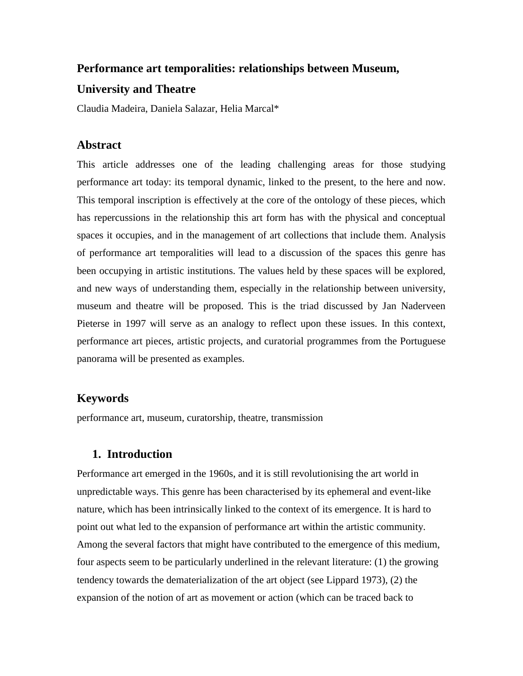## **Performance art temporalities: relationships between Museum,**

## **University and Theatre**

Claudia Madeira, Daniela Salazar, Helia Marcal\*

### **Abstract**

This article addresses one of the leading challenging areas for those studying performance art today: its temporal dynamic, linked to the present, to the here and now. This temporal inscription is effectively at the core of the ontology of these pieces, which has repercussions in the relationship this art form has with the physical and conceptual spaces it occupies, and in the management of art collections that include them. Analysis of performance art temporalities will lead to a discussion of the spaces this genre has been occupying in artistic institutions. The values held by these spaces will be explored, and new ways of understanding them, especially in the relationship between university, museum and theatre will be proposed. This is the triad discussed by Jan Naderveen Pieterse in 1997 will serve as an analogy to reflect upon these issues. In this context, performance art pieces, artistic projects, and curatorial programmes from the Portuguese panorama will be presented as examples.

### **Keywords**

performance art, museum, curatorship, theatre, transmission

## **1. Introduction**

Performance art emerged in the 1960s, and it is still revolutionising the art world in unpredictable ways. This genre has been characterised by its ephemeral and event-like nature, which has been intrinsically linked to the context of its emergence. It is hard to point out what led to the expansion of performance art within the artistic community. Among the several factors that might have contributed to the emergence of this medium, four aspects seem to be particularly underlined in the relevant literature: (1) the growing tendency towards the dematerialization of the art object (see Lippard 1973), (2) the expansion of the notion of art as movement or action (which can be traced back to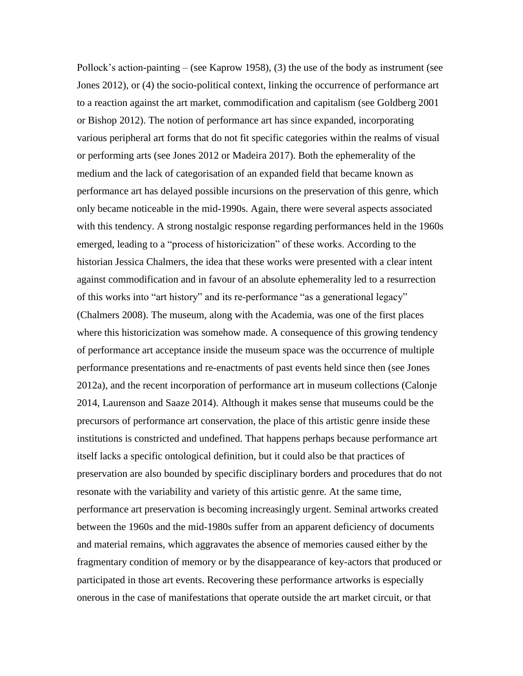Pollock's action-painting – (see Kaprow 1958), (3) the use of the body as instrument (see Jones 2012), or (4) the socio-political context, linking the occurrence of performance art to a reaction against the art market, commodification and capitalism (see Goldberg 2001 or Bishop 2012). The notion of performance art has since expanded, incorporating various peripheral art forms that do not fit specific categories within the realms of visual or performing arts (see Jones 2012 or Madeira 2017). Both the ephemerality of the medium and the lack of categorisation of an expanded field that became known as performance art has delayed possible incursions on the preservation of this genre, which only became noticeable in the mid-1990s. Again, there were several aspects associated with this tendency. A strong nostalgic response regarding performances held in the 1960s emerged, leading to a "process of historicization" of these works. According to the historian Jessica Chalmers, the idea that these works were presented with a clear intent against commodification and in favour of an absolute ephemerality led to a resurrection of this works into "art history" and its re-performance "as a generational legacy" (Chalmers 2008). The museum, along with the Academia, was one of the first places where this historicization was somehow made. A consequence of this growing tendency of performance art acceptance inside the museum space was the occurrence of multiple performance presentations and re-enactments of past events held since then (see Jones 2012a), and the recent incorporation of performance art in museum collections (Calonje 2014, Laurenson and Saaze 2014). Although it makes sense that museums could be the precursors of performance art conservation, the place of this artistic genre inside these institutions is constricted and undefined. That happens perhaps because performance art itself lacks a specific ontological definition, but it could also be that practices of preservation are also bounded by specific disciplinary borders and procedures that do not resonate with the variability and variety of this artistic genre. At the same time, performance art preservation is becoming increasingly urgent. Seminal artworks created between the 1960s and the mid-1980s suffer from an apparent deficiency of documents and material remains, which aggravates the absence of memories caused either by the fragmentary condition of memory or by the disappearance of key-actors that produced or participated in those art events. Recovering these performance artworks is especially onerous in the case of manifestations that operate outside the art market circuit, or that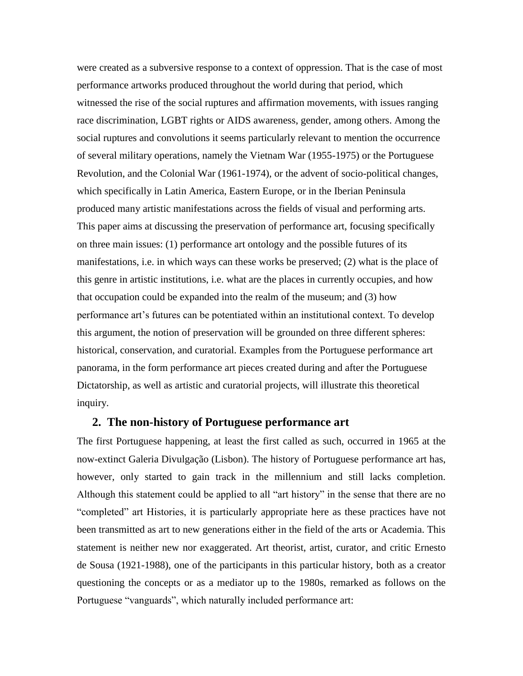were created as a subversive response to a context of oppression. That is the case of most performance artworks produced throughout the world during that period, which witnessed the rise of the social ruptures and affirmation movements, with issues ranging race discrimination, LGBT rights or AIDS awareness, gender, among others. Among the social ruptures and convolutions it seems particularly relevant to mention the occurrence of several military operations, namely the Vietnam War (1955-1975) or the Portuguese Revolution, and the Colonial War (1961-1974), or the advent of socio-political changes, which specifically in Latin America, Eastern Europe, or in the Iberian Peninsula produced many artistic manifestations across the fields of visual and performing arts. This paper aims at discussing the preservation of performance art, focusing specifically on three main issues: (1) performance art ontology and the possible futures of its manifestations, i.e. in which ways can these works be preserved; (2) what is the place of this genre in artistic institutions, i.e. what are the places in currently occupies, and how that occupation could be expanded into the realm of the museum; and (3) how performance art's futures can be potentiated within an institutional context. To develop this argument, the notion of preservation will be grounded on three different spheres: historical, conservation, and curatorial. Examples from the Portuguese performance art panorama, in the form performance art pieces created during and after the Portuguese Dictatorship, as well as artistic and curatorial projects, will illustrate this theoretical inquiry.

### **2. The non-history of Portuguese performance art**

The first Portuguese happening, at least the first called as such, occurred in 1965 at the now-extinct Galeria Divulgação (Lisbon). The history of Portuguese performance art has, however, only started to gain track in the millennium and still lacks completion. Although this statement could be applied to all "art history" in the sense that there are no "completed" art Histories, it is particularly appropriate here as these practices have not been transmitted as art to new generations either in the field of the arts or Academia. This statement is neither new nor exaggerated. Art theorist, artist, curator, and critic Ernesto de Sousa (1921-1988), one of the participants in this particular history, both as a creator questioning the concepts or as a mediator up to the 1980s, remarked as follows on the Portuguese "vanguards", which naturally included performance art: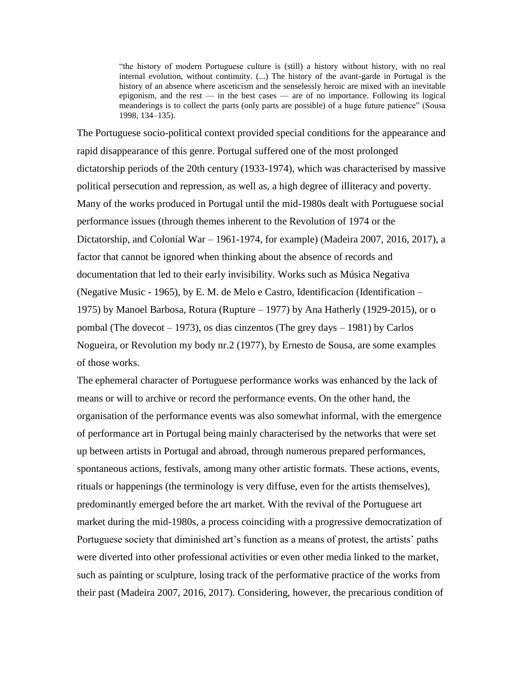"the history of modern Portuguese culture is (still) a history without history, with no real internal evolution, without continuity. (...) The history of the avant-garde in Portugal is the history of an absence where asceticism and the senselessly heroic are mixed with an inevitable epigonism, and the rest — in the best cases — are of no importance. Following its logical meanderings is to collect the parts (only parts are possible) of a huge future patience" (Sousa 1998, 134–135).

The Portuguese socio-political context provided special conditions for the appearance and rapid disappearance of this genre. Portugal suffered one of the most prolonged dictatorship periods of the 20th century (1933-1974), which was characterised by massive political persecution and repression, as well as, a high degree of illiteracy and poverty. Many of the works produced in Portugal until the mid-1980s dealt with Portuguese social performance issues (through themes inherent to the Revolution of 1974 or the Dictatorship, and Colonial War – 1961-1974, for example) (Madeira 2007, 2016, 2017), a factor that cannot be ignored when thinking about the absence of records and documentation that led to their early invisibility. Works such as Música Negativa (Negative Music - 1965), by E. M. de Melo e Castro, Identificacíon (Identification – 1975) by Manoel Barbosa, Rotura (Rupture – 1977) by Ana Hatherly (1929-2015), or o pombal (The dovecot – 1973), os dias cinzentos (The grey days – 1981) by Carlos Nogueira, or Revolution my body nr.2 (1977), by Ernesto de Sousa, are some examples of those works.

The ephemeral character of Portuguese performance works was enhanced by the lack of means or will to archive or record the performance events. On the other hand, the organisation of the performance events was also somewhat informal, with the emergence of performance art in Portugal being mainly characterised by the networks that were set up between artists in Portugal and abroad, through numerous prepared performances, spontaneous actions, festivals, among many other artistic formats. These actions, events, rituals or happenings (the terminology is very diffuse, even for the artists themselves), predominantly emerged before the art market. With the revival of the Portuguese art market during the mid-1980s, a process coinciding with a progressive democratization of Portuguese society that diminished art's function as a means of protest, the artists' paths were diverted into other professional activities or even other media linked to the market, such as painting or sculpture, losing track of the performative practice of the works from their past (Madeira 2007, 2016, 2017). Considering, however, the precarious condition of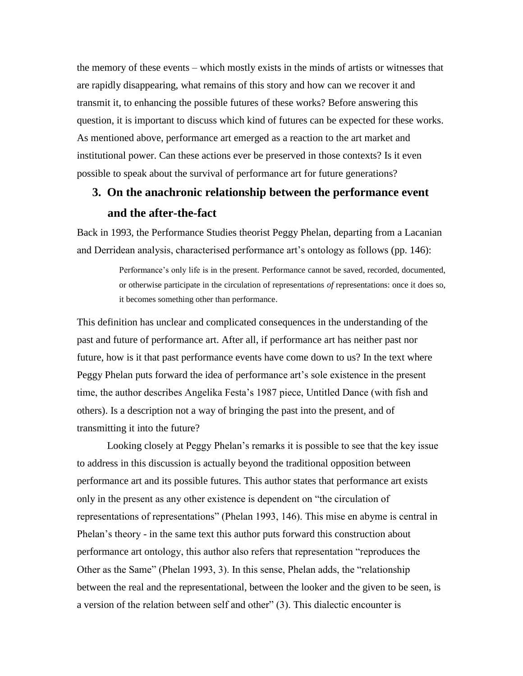the memory of these events – which mostly exists in the minds of artists or witnesses that are rapidly disappearing, what remains of this story and how can we recover it and transmit it, to enhancing the possible futures of these works? Before answering this question, it is important to discuss which kind of futures can be expected for these works. As mentioned above, performance art emerged as a reaction to the art market and institutional power. Can these actions ever be preserved in those contexts? Is it even possible to speak about the survival of performance art for future generations?

# **3. On the anachronic relationship between the performance event and the after-the-fact**

Back in 1993, the Performance Studies theorist Peggy Phelan, departing from a Lacanian and Derridean analysis, characterised performance art's ontology as follows (pp. 146):

> Performance's only life is in the present. Performance cannot be saved, recorded, documented, or otherwise participate in the circulation of representations *of* representations: once it does so, it becomes something other than performance.

This definition has unclear and complicated consequences in the understanding of the past and future of performance art. After all, if performance art has neither past nor future, how is it that past performance events have come down to us? In the text where Peggy Phelan puts forward the idea of performance art's sole existence in the present time, the author describes Angelika Festa's 1987 piece, Untitled Dance (with fish and others). Is a description not a way of bringing the past into the present, and of transmitting it into the future?

Looking closely at Peggy Phelan's remarks it is possible to see that the key issue to address in this discussion is actually beyond the traditional opposition between performance art and its possible futures. This author states that performance art exists only in the present as any other existence is dependent on "the circulation of representations of representations" (Phelan 1993, 146). This mise en abyme is central in Phelan's theory - in the same text this author puts forward this construction about performance art ontology, this author also refers that representation "reproduces the Other as the Same" (Phelan 1993, 3). In this sense, Phelan adds, the "relationship between the real and the representational, between the looker and the given to be seen, is a version of the relation between self and other" (3). This dialectic encounter is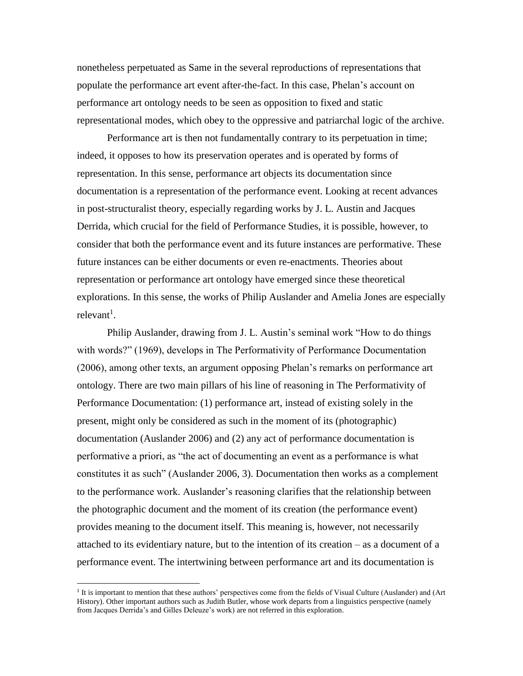nonetheless perpetuated as Same in the several reproductions of representations that populate the performance art event after-the-fact. In this case, Phelan's account on performance art ontology needs to be seen as opposition to fixed and static representational modes, which obey to the oppressive and patriarchal logic of the archive.

Performance art is then not fundamentally contrary to its perpetuation in time; indeed, it opposes to how its preservation operates and is operated by forms of representation. In this sense, performance art objects its documentation since documentation is a representation of the performance event. Looking at recent advances in post-structuralist theory, especially regarding works by J. L. Austin and Jacques Derrida, which crucial for the field of Performance Studies, it is possible, however, to consider that both the performance event and its future instances are performative. These future instances can be either documents or even re-enactments. Theories about representation or performance art ontology have emerged since these theoretical explorations. In this sense, the works of Philip Auslander and Amelia Jones are especially  $relevant<sup>1</sup>$ .

Philip Auslander, drawing from J. L. Austin's seminal work "How to do things with words?" (1969), develops in The Performativity of Performance Documentation (2006), among other texts, an argument opposing Phelan's remarks on performance art ontology. There are two main pillars of his line of reasoning in The Performativity of Performance Documentation: (1) performance art, instead of existing solely in the present, might only be considered as such in the moment of its (photographic) documentation (Auslander 2006) and (2) any act of performance documentation is performative a priori, as "the act of documenting an event as a performance is what constitutes it as such" (Auslander 2006, 3). Documentation then works as a complement to the performance work. Auslander's reasoning clarifies that the relationship between the photographic document and the moment of its creation (the performance event) provides meaning to the document itself. This meaning is, however, not necessarily attached to its evidentiary nature, but to the intention of its creation – as a document of a performance event. The intertwining between performance art and its documentation is

<sup>1</sup> It is important to mention that these authors' perspectives come from the fields of Visual Culture (Auslander) and (Art History). Other important authors such as Judith Butler, whose work departs from a linguistics perspective (namely from Jacques Derrida's and Gilles Deleuze's work) are not referred in this exploration.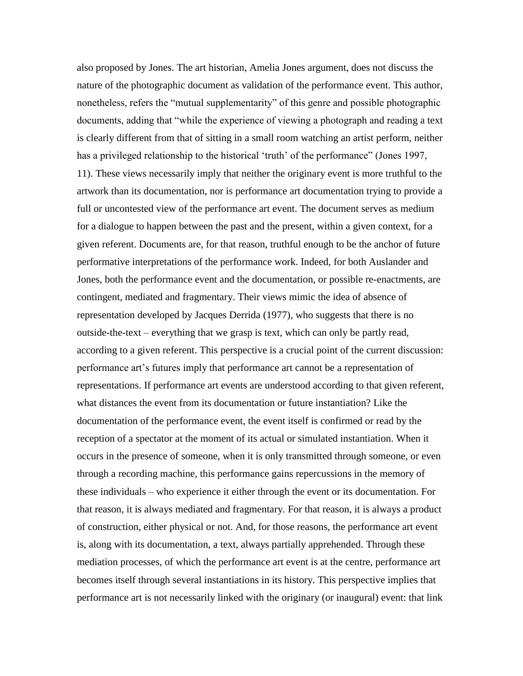also proposed by Jones. The art historian, Amelia Jones argument, does not discuss the nature of the photographic document as validation of the performance event. This author, nonetheless, refers the "mutual supplementarity" of this genre and possible photographic documents, adding that "while the experience of viewing a photograph and reading a text is clearly different from that of sitting in a small room watching an artist perform, neither has a privileged relationship to the historical 'truth' of the performance" (Jones 1997, 11). These views necessarily imply that neither the originary event is more truthful to the artwork than its documentation, nor is performance art documentation trying to provide a full or uncontested view of the performance art event. The document serves as medium for a dialogue to happen between the past and the present, within a given context, for a given referent. Documents are, for that reason, truthful enough to be the anchor of future performative interpretations of the performance work. Indeed, for both Auslander and Jones, both the performance event and the documentation, or possible re-enactments, are contingent, mediated and fragmentary. Their views mimic the idea of absence of representation developed by Jacques Derrida (1977), who suggests that there is no outside-the-text – everything that we grasp is text, which can only be partly read, according to a given referent. This perspective is a crucial point of the current discussion: performance art's futures imply that performance art cannot be a representation of representations. If performance art events are understood according to that given referent, what distances the event from its documentation or future instantiation? Like the documentation of the performance event, the event itself is confirmed or read by the reception of a spectator at the moment of its actual or simulated instantiation. When it occurs in the presence of someone, when it is only transmitted through someone, or even through a recording machine, this performance gains repercussions in the memory of these individuals – who experience it either through the event or its documentation. For that reason, it is always mediated and fragmentary. For that reason, it is always a product of construction, either physical or not. And, for those reasons, the performance art event is, along with its documentation, a text, always partially apprehended. Through these mediation processes, of which the performance art event is at the centre, performance art becomes itself through several instantiations in its history. This perspective implies that performance art is not necessarily linked with the originary (or inaugural) event: that link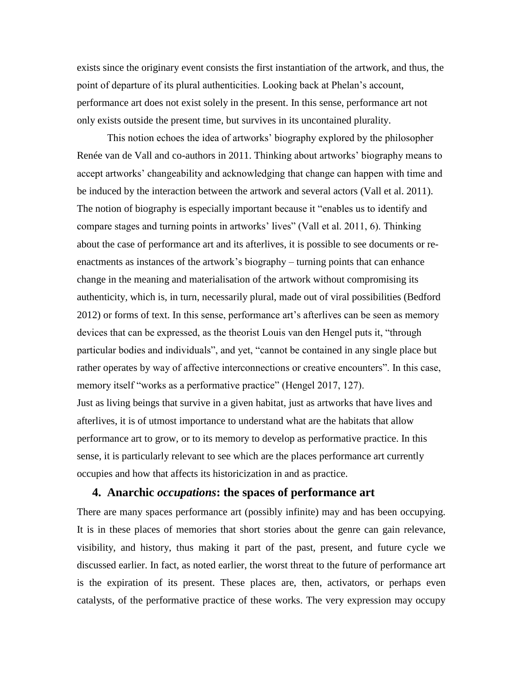exists since the originary event consists the first instantiation of the artwork, and thus, the point of departure of its plural authenticities. Looking back at Phelan's account, performance art does not exist solely in the present. In this sense, performance art not only exists outside the present time, but survives in its uncontained plurality.

This notion echoes the idea of artworks' biography explored by the philosopher Renée van de Vall and co-authors in 2011. Thinking about artworks' biography means to accept artworks' changeability and acknowledging that change can happen with time and be induced by the interaction between the artwork and several actors (Vall et al. 2011). The notion of biography is especially important because it "enables us to identify and compare stages and turning points in artworks' lives" (Vall et al. 2011, 6). Thinking about the case of performance art and its afterlives, it is possible to see documents or reenactments as instances of the artwork's biography – turning points that can enhance change in the meaning and materialisation of the artwork without compromising its authenticity, which is, in turn, necessarily plural, made out of viral possibilities (Bedford 2012) or forms of text. In this sense, performance art's afterlives can be seen as memory devices that can be expressed, as the theorist Louis van den Hengel puts it, "through particular bodies and individuals", and yet, "cannot be contained in any single place but rather operates by way of affective interconnections or creative encounters". In this case, memory itself "works as a performative practice" (Hengel 2017, 127). Just as living beings that survive in a given habitat, just as artworks that have lives and afterlives, it is of utmost importance to understand what are the habitats that allow

performance art to grow, or to its memory to develop as performative practice. In this sense, it is particularly relevant to see which are the places performance art currently occupies and how that affects its historicization in and as practice.

## **4. Anarchic** *occupations***: the spaces of performance art**

There are many spaces performance art (possibly infinite) may and has been occupying. It is in these places of memories that short stories about the genre can gain relevance, visibility, and history, thus making it part of the past, present, and future cycle we discussed earlier. In fact, as noted earlier, the worst threat to the future of performance art is the expiration of its present. These places are, then, activators, or perhaps even catalysts, of the performative practice of these works. The very expression may occupy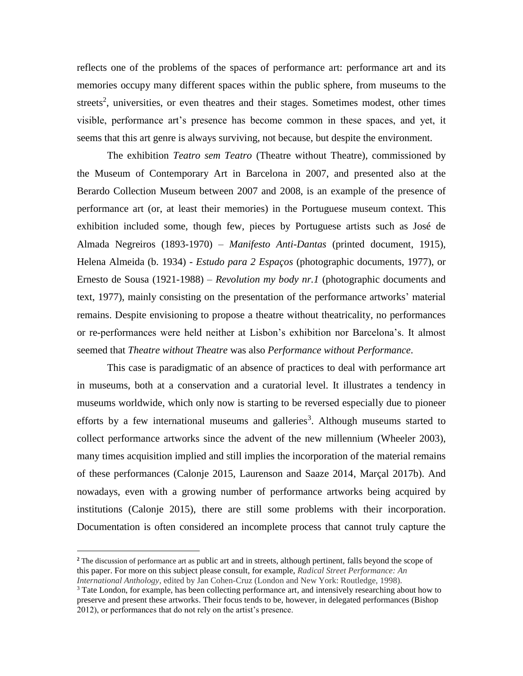reflects one of the problems of the spaces of performance art: performance art and its memories occupy many different spaces within the public sphere, from museums to the streets<sup>2</sup>, universities, or even theatres and their stages. Sometimes modest, other times visible, performance art's presence has become common in these spaces, and yet, it seems that this art genre is always surviving, not because, but despite the environment.

The exhibition *Teatro sem Teatro* (Theatre without Theatre), commissioned by the Museum of Contemporary Art in Barcelona in 2007, and presented also at the Berardo Collection Museum between 2007 and 2008, is an example of the presence of performance art (or, at least their memories) in the Portuguese museum context. This exhibition included some, though few, pieces by Portuguese artists such as José de Almada Negreiros (1893-1970) – *Manifesto Anti-Dantas* (printed document, 1915), Helena Almeida (b. 1934) - *Estudo para 2 Espaços* (photographic documents, 1977), or Ernesto de Sousa (1921-1988) – *Revolution my body nr.1* (photographic documents and text, 1977), mainly consisting on the presentation of the performance artworks' material remains. Despite envisioning to propose a theatre without theatricality, no performances or re-performances were held neither at Lisbon's exhibition nor Barcelona's. It almost seemed that *Theatre without Theatre* was also *Performance without Performance*.

This case is paradigmatic of an absence of practices to deal with performance art in museums, both at a conservation and a curatorial level. It illustrates a tendency in museums worldwide, which only now is starting to be reversed especially due to pioneer efforts by a few international museums and galleries<sup>3</sup>. Although museums started to collect performance artworks since the advent of the new millennium (Wheeler 2003), many times acquisition implied and still implies the incorporation of the material remains of these performances (Calonje 2015, Laurenson and Saaze 2014, Marçal 2017b). And nowadays, even with a growing number of performance artworks being acquired by institutions (Calonje 2015), there are still some problems with their incorporation. Documentation is often considered an incomplete process that cannot truly capture the

**<sup>2</sup>** The discussion of performance art as public art and in streets, although pertinent, falls beyond the scope of this paper. For more on this subject please consult, for example, *Radical Street Performance: An International Anthology*, edited by Jan Cohen-Cruz (London and New York: Routledge, 1998).

<sup>&</sup>lt;sup>3</sup> Tate London, for example, has been collecting performance art, and intensively researching about how to preserve and present these artworks. Their focus tends to be, however, in delegated performances (Bishop 2012), or performances that do not rely on the artist's presence.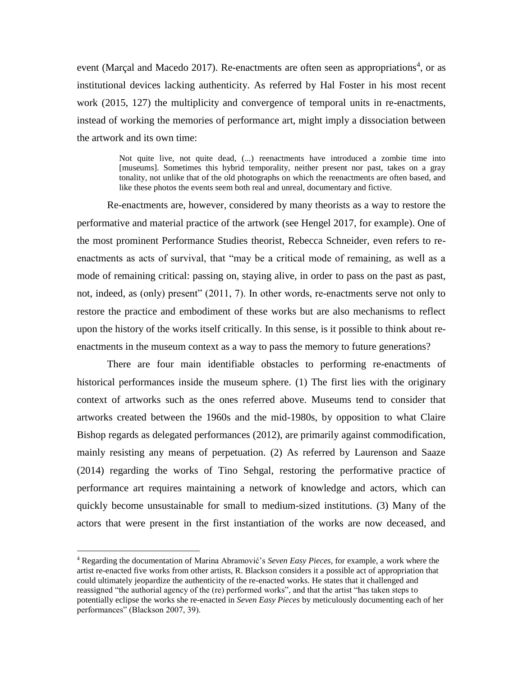event (Marçal and Macedo 2017). Re-enactments are often seen as appropriations<sup>4</sup>, or as institutional devices lacking authenticity. As referred by Hal Foster in his most recent work (2015, 127) the multiplicity and convergence of temporal units in re-enactments, instead of working the memories of performance art, might imply a dissociation between the artwork and its own time:

> Not quite live, not quite dead, (...) reenactments have introduced a zombie time into [museums]. Sometimes this hybrid temporality, neither present nor past, takes on a gray tonality, not unlike that of the old photographs on which the reenactments are often based, and like these photos the events seem both real and unreal, documentary and fictive.

Re-enactments are, however, considered by many theorists as a way to restore the performative and material practice of the artwork (see Hengel 2017, for example). One of the most prominent Performance Studies theorist, Rebecca Schneider, even refers to reenactments as acts of survival, that "may be a critical mode of remaining, as well as a mode of remaining critical: passing on, staying alive, in order to pass on the past as past, not, indeed, as (only) present" (2011, 7). In other words, re-enactments serve not only to restore the practice and embodiment of these works but are also mechanisms to reflect upon the history of the works itself critically. In this sense, is it possible to think about reenactments in the museum context as a way to pass the memory to future generations?

There are four main identifiable obstacles to performing re-enactments of historical performances inside the museum sphere. (1) The first lies with the originary context of artworks such as the ones referred above. Museums tend to consider that artworks created between the 1960s and the mid-1980s, by opposition to what Claire Bishop regards as delegated performances (2012), are primarily against commodification, mainly resisting any means of perpetuation. (2) As referred by Laurenson and Saaze (2014) regarding the works of Tino Sehgal, restoring the performative practice of performance art requires maintaining a network of knowledge and actors, which can quickly become unsustainable for small to medium-sized institutions. (3) Many of the actors that were present in the first instantiation of the works are now deceased, and

<sup>4</sup> Regarding the documentation of Marina Abramović's *Seven Easy Pieces*, for example, a work where the artist re-enacted five works from other artists, R. Blackson considers it a possible act of appropriation that could ultimately jeopardize the authenticity of the re-enacted works. He states that it challenged and reassigned "the authorial agency of the (re) performed works", and that the artist "has taken steps to potentially eclipse the works she re-enacted in *Seven Easy Pieces* by meticulously documenting each of her performances" (Blackson 2007, 39).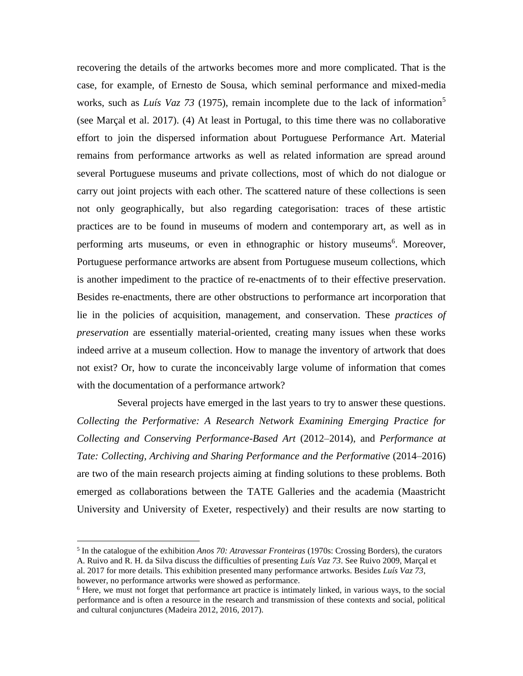recovering the details of the artworks becomes more and more complicated. That is the case, for example, of Ernesto de Sousa, which seminal performance and mixed-media works, such as *Luís Vaz 73* (1975), remain incomplete due to the lack of information<sup>5</sup> (see Marçal et al. 2017). (4) At least in Portugal, to this time there was no collaborative effort to join the dispersed information about Portuguese Performance Art. Material remains from performance artworks as well as related information are spread around several Portuguese museums and private collections, most of which do not dialogue or carry out joint projects with each other. The scattered nature of these collections is seen not only geographically, but also regarding categorisation: traces of these artistic practices are to be found in museums of modern and contemporary art, as well as in performing arts museums, or even in ethnographic or history museums<sup>6</sup>. Moreover, Portuguese performance artworks are absent from Portuguese museum collections, which is another impediment to the practice of re-enactments of to their effective preservation. Besides re-enactments, there are other obstructions to performance art incorporation that lie in the policies of acquisition, management, and conservation. These *practices of preservation* are essentially material-oriented, creating many issues when these works indeed arrive at a museum collection. How to manage the inventory of artwork that does not exist? Or, how to curate the inconceivably large volume of information that comes with the documentation of a performance artwork?

 Several projects have emerged in the last years to try to answer these questions. *Collecting the Performative: A Research Network Examining Emerging Practice for Collecting and Conserving Performance-Based Art* (2012–2014), and *Performance at Tate: Collecting, Archiving and Sharing Performance and the Performative* (2014–2016) are two of the main research projects aiming at finding solutions to these problems. Both emerged as collaborations between the TATE Galleries and the academia (Maastricht University and University of Exeter, respectively) and their results are now starting to

<sup>5</sup> In the catalogue of the exhibition *Anos 70: Atravessar Fronteiras* (1970s: Crossing Borders), the curators A. Ruivo and R. H. da Silva discuss the difficulties of presenting *Luís Vaz 73*. See Ruivo 2009, Marçal et al. 2017 for more details. This exhibition presented many performance artworks. Besides *Luís Vaz 73*, however, no performance artworks were showed as performance.

<sup>6</sup> Here, we must not forget that performance art practice is intimately linked, in various ways, to the social performance and is often a resource in the research and transmission of these contexts and social, political and cultural conjunctures (Madeira 2012, 2016, 2017).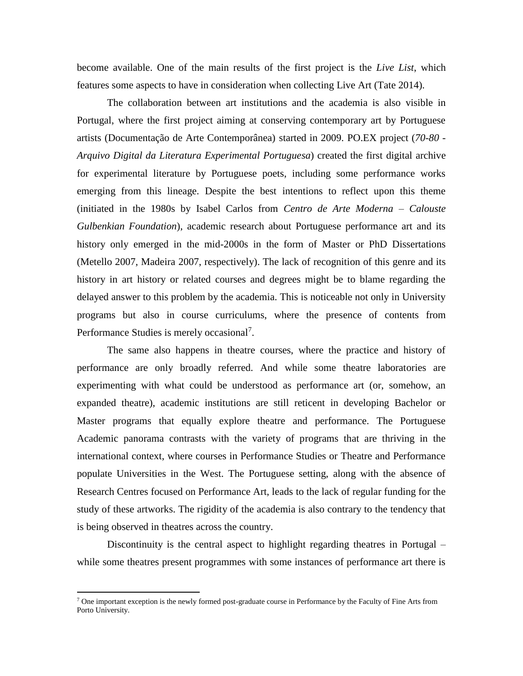become available. One of the main results of the first project is the *Live List*, which features some aspects to have in consideration when collecting Live Art (Tate 2014).

The collaboration between art institutions and the academia is also visible in Portugal, where the first project aiming at conserving contemporary art by Portuguese artists (Documentação de Arte Contemporânea) started in 2009. PO.EX project (*70-80 - Arquivo Digital da Literatura Experimental Portuguesa*) created the first digital archive for experimental literature by Portuguese poets, including some performance works emerging from this lineage. Despite the best intentions to reflect upon this theme (initiated in the 1980s by Isabel Carlos from *Centro de Arte Moderna – Calouste Gulbenkian Foundation*), academic research about Portuguese performance art and its history only emerged in the mid-2000s in the form of Master or PhD Dissertations (Metello 2007, Madeira 2007, respectively). The lack of recognition of this genre and its history in art history or related courses and degrees might be to blame regarding the delayed answer to this problem by the academia. This is noticeable not only in University programs but also in course curriculums, where the presence of contents from Performance Studies is merely occasional<sup>7</sup>.

The same also happens in theatre courses, where the practice and history of performance are only broadly referred. And while some theatre laboratories are experimenting with what could be understood as performance art (or, somehow, an expanded theatre), academic institutions are still reticent in developing Bachelor or Master programs that equally explore theatre and performance. The Portuguese Academic panorama contrasts with the variety of programs that are thriving in the international context, where courses in Performance Studies or Theatre and Performance populate Universities in the West. The Portuguese setting, along with the absence of Research Centres focused on Performance Art, leads to the lack of regular funding for the study of these artworks. The rigidity of the academia is also contrary to the tendency that is being observed in theatres across the country.

Discontinuity is the central aspect to highlight regarding theatres in Portugal – while some theatres present programmes with some instances of performance art there is

 $7$  One important exception is the newly formed post-graduate course in Performance by the Faculty of Fine Arts from Porto University.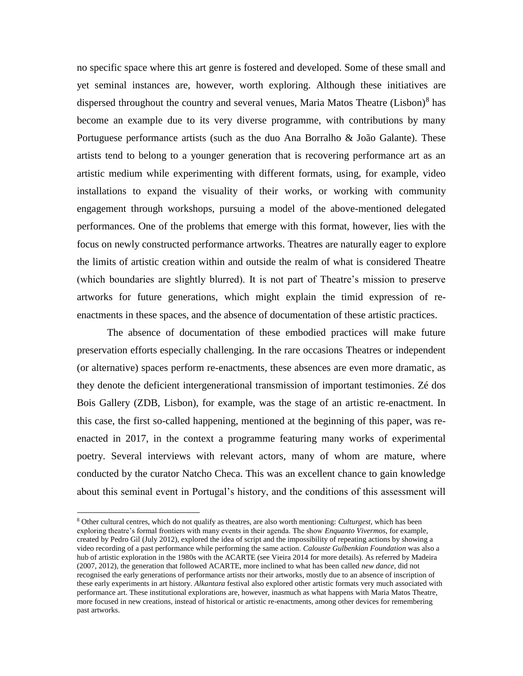no specific space where this art genre is fostered and developed. Some of these small and yet seminal instances are, however, worth exploring. Although these initiatives are dispersed throughout the country and several venues, Maria Matos Theatre (Lisbon) $8$  has become an example due to its very diverse programme, with contributions by many Portuguese performance artists (such as the duo Ana Borralho & João Galante). These artists tend to belong to a younger generation that is recovering performance art as an artistic medium while experimenting with different formats, using, for example, video installations to expand the visuality of their works, or working with community engagement through workshops, pursuing a model of the above-mentioned delegated performances. One of the problems that emerge with this format, however, lies with the focus on newly constructed performance artworks. Theatres are naturally eager to explore the limits of artistic creation within and outside the realm of what is considered Theatre (which boundaries are slightly blurred). It is not part of Theatre's mission to preserve artworks for future generations, which might explain the timid expression of reenactments in these spaces, and the absence of documentation of these artistic practices.

The absence of documentation of these embodied practices will make future preservation efforts especially challenging. In the rare occasions Theatres or independent (or alternative) spaces perform re-enactments, these absences are even more dramatic, as they denote the deficient intergenerational transmission of important testimonies. Zé dos Bois Gallery (ZDB, Lisbon), for example, was the stage of an artistic re-enactment. In this case, the first so-called happening, mentioned at the beginning of this paper, was reenacted in 2017, in the context a programme featuring many works of experimental poetry. Several interviews with relevant actors, many of whom are mature, where conducted by the curator Natcho Checa. This was an excellent chance to gain knowledge about this seminal event in Portugal's history, and the conditions of this assessment will

<sup>8</sup> Other cultural centres, which do not qualify as theatres, are also worth mentioning: *Culturgest*, which has been exploring theatre's formal frontiers with many events in their agenda. The show *Enquanto Vivermos*, for example, created by Pedro Gil (July 2012), explored the idea of script and the impossibility of repeating actions by showing a video recording of a past performance while performing the same action. *Calouste Gulbenkian Foundation* was also a hub of artistic exploration in the 1980s with the ACARTE (see Vieira 2014 for more details). As referred by Madeira (2007, 2012), the generation that followed ACARTE, more inclined to what has been called *new dance*, did not recognised the early generations of performance artists nor their artworks, mostly due to an absence of inscription of these early experiments in art history. *Alkantara* festival also explored other artistic formats very much associated with performance art. These institutional explorations are, however, inasmuch as what happens with Maria Matos Theatre, more focused in new creations, instead of historical or artistic re-enactments, among other devices for remembering past artworks.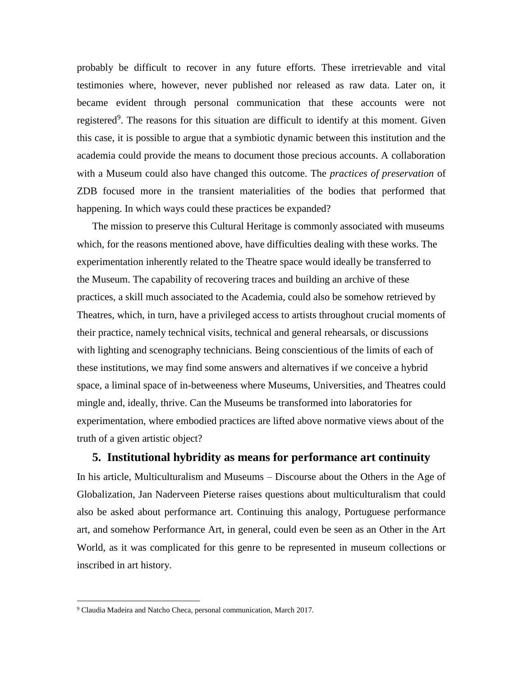probably be difficult to recover in any future efforts. These irretrievable and vital testimonies where, however, never published nor released as raw data. Later on, it became evident through personal communication that these accounts were not registered<sup>9</sup>. The reasons for this situation are difficult to identify at this moment. Given this case, it is possible to argue that a symbiotic dynamic between this institution and the academia could provide the means to document those precious accounts. A collaboration with a Museum could also have changed this outcome. The *practices of preservation* of ZDB focused more in the transient materialities of the bodies that performed that happening. In which ways could these practices be expanded?

The mission to preserve this Cultural Heritage is commonly associated with museums which, for the reasons mentioned above, have difficulties dealing with these works. The experimentation inherently related to the Theatre space would ideally be transferred to the Museum. The capability of recovering traces and building an archive of these practices, a skill much associated to the Academia, could also be somehow retrieved by Theatres, which, in turn, have a privileged access to artists throughout crucial moments of their practice, namely technical visits, technical and general rehearsals, or discussions with lighting and scenography technicians. Being conscientious of the limits of each of these institutions, we may find some answers and alternatives if we conceive a hybrid space, a liminal space of in-betweeness where Museums, Universities, and Theatres could mingle and, ideally, thrive. Can the Museums be transformed into laboratories for experimentation, where embodied practices are lifted above normative views about of the truth of a given artistic object?

### **5. Institutional hybridity as means for performance art continuity**

In his article, Multiculturalism and Museums – Discourse about the Others in the Age of Globalization, Jan Naderveen Pieterse raises questions about multiculturalism that could also be asked about performance art. Continuing this analogy, Portuguese performance art, and somehow Performance Art, in general, could even be seen as an Other in the Art World, as it was complicated for this genre to be represented in museum collections or inscribed in art history.

<sup>9</sup> Claudia Madeira and Natcho Checa, personal communication, March 2017.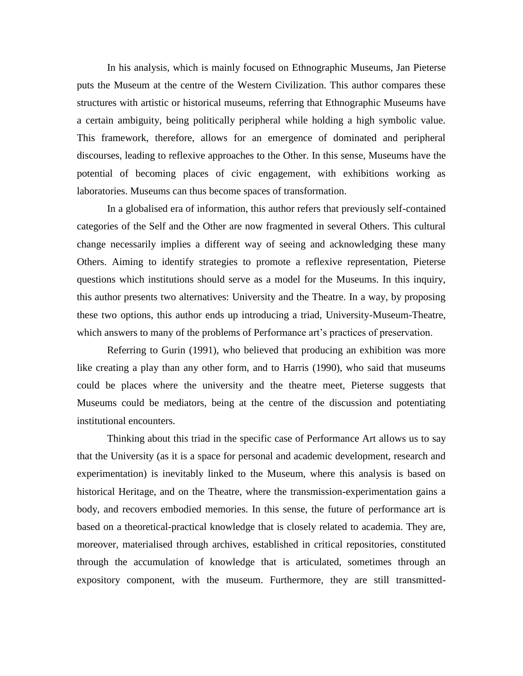In his analysis, which is mainly focused on Ethnographic Museums, Jan Pieterse puts the Museum at the centre of the Western Civilization. This author compares these structures with artistic or historical museums, referring that Ethnographic Museums have a certain ambiguity, being politically peripheral while holding a high symbolic value. This framework, therefore, allows for an emergence of dominated and peripheral discourses, leading to reflexive approaches to the Other. In this sense, Museums have the potential of becoming places of civic engagement, with exhibitions working as laboratories. Museums can thus become spaces of transformation.

In a globalised era of information, this author refers that previously self-contained categories of the Self and the Other are now fragmented in several Others. This cultural change necessarily implies a different way of seeing and acknowledging these many Others. Aiming to identify strategies to promote a reflexive representation, Pieterse questions which institutions should serve as a model for the Museums. In this inquiry, this author presents two alternatives: University and the Theatre. In a way, by proposing these two options, this author ends up introducing a triad, University-Museum-Theatre, which answers to many of the problems of Performance art's practices of preservation.

Referring to Gurin (1991), who believed that producing an exhibition was more like creating a play than any other form, and to Harris (1990), who said that museums could be places where the university and the theatre meet, Pieterse suggests that Museums could be mediators, being at the centre of the discussion and potentiating institutional encounters.

Thinking about this triad in the specific case of Performance Art allows us to say that the University (as it is a space for personal and academic development, research and experimentation) is inevitably linked to the Museum, where this analysis is based on historical Heritage, and on the Theatre, where the transmission-experimentation gains a body, and recovers embodied memories. In this sense, the future of performance art is based on a theoretical-practical knowledge that is closely related to academia. They are, moreover, materialised through archives, established in critical repositories, constituted through the accumulation of knowledge that is articulated, sometimes through an expository component, with the museum. Furthermore, they are still transmitted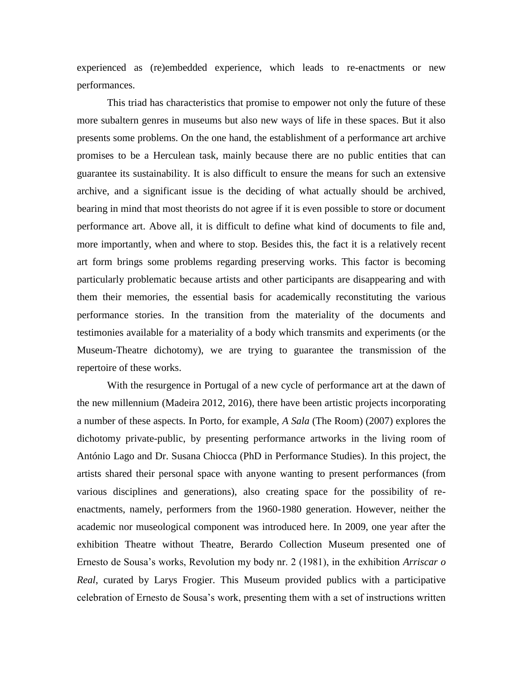experienced as (re)embedded experience, which leads to re-enactments or new performances.

This triad has characteristics that promise to empower not only the future of these more subaltern genres in museums but also new ways of life in these spaces. But it also presents some problems. On the one hand, the establishment of a performance art archive promises to be a Herculean task, mainly because there are no public entities that can guarantee its sustainability. It is also difficult to ensure the means for such an extensive archive, and a significant issue is the deciding of what actually should be archived, bearing in mind that most theorists do not agree if it is even possible to store or document performance art. Above all, it is difficult to define what kind of documents to file and, more importantly, when and where to stop. Besides this, the fact it is a relatively recent art form brings some problems regarding preserving works. This factor is becoming particularly problematic because artists and other participants are disappearing and with them their memories, the essential basis for academically reconstituting the various performance stories. In the transition from the materiality of the documents and testimonies available for a materiality of a body which transmits and experiments (or the Museum-Theatre dichotomy), we are trying to guarantee the transmission of the repertoire of these works.

With the resurgence in Portugal of a new cycle of performance art at the dawn of the new millennium (Madeira 2012, 2016), there have been artistic projects incorporating a number of these aspects. In Porto, for example, *A Sala* (The Room) (2007) explores the dichotomy private-public, by presenting performance artworks in the living room of António Lago and Dr. Susana Chiocca (PhD in Performance Studies). In this project, the artists shared their personal space with anyone wanting to present performances (from various disciplines and generations), also creating space for the possibility of reenactments, namely, performers from the 1960-1980 generation. However, neither the academic nor museological component was introduced here. In 2009, one year after the exhibition Theatre without Theatre, Berardo Collection Museum presented one of Ernesto de Sousa's works, Revolution my body nr. 2 (1981), in the exhibition *Arriscar o Real*, curated by Larys Frogier. This Museum provided publics with a participative celebration of Ernesto de Sousa's work, presenting them with a set of instructions written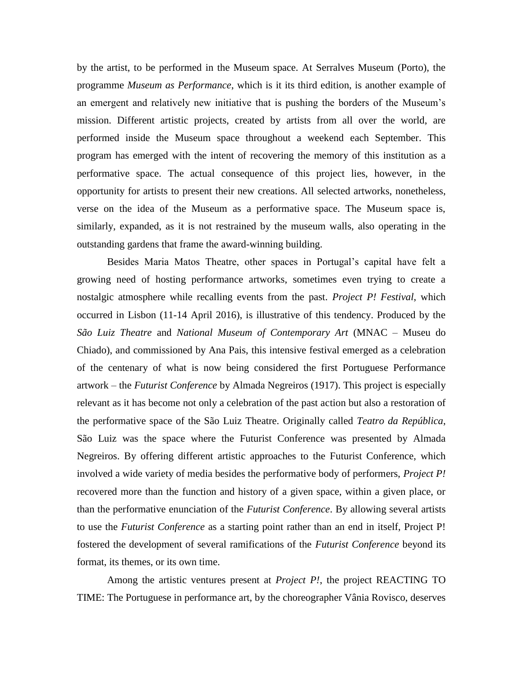by the artist, to be performed in the Museum space. At Serralves Museum (Porto), the programme *Museum as Performance*, which is it its third edition, is another example of an emergent and relatively new initiative that is pushing the borders of the Museum's mission. Different artistic projects, created by artists from all over the world, are performed inside the Museum space throughout a weekend each September. This program has emerged with the intent of recovering the memory of this institution as a performative space. The actual consequence of this project lies, however, in the opportunity for artists to present their new creations. All selected artworks, nonetheless, verse on the idea of the Museum as a performative space. The Museum space is, similarly, expanded, as it is not restrained by the museum walls, also operating in the outstanding gardens that frame the award-winning building.

Besides Maria Matos Theatre, other spaces in Portugal's capital have felt a growing need of hosting performance artworks, sometimes even trying to create a nostalgic atmosphere while recalling events from the past. *Project P! Festival*, which occurred in Lisbon (11-14 April 2016), is illustrative of this tendency. Produced by the *São Luiz Theatre* and *National Museum of Contemporary Art* (MNAC – Museu do Chiado), and commissioned by Ana Pais, this intensive festival emerged as a celebration of the centenary of what is now being considered the first Portuguese Performance artwork – the *Futurist Conference* by Almada Negreiros (1917). This project is especially relevant as it has become not only a celebration of the past action but also a restoration of the performative space of the São Luiz Theatre. Originally called *Teatro da República*, São Luiz was the space where the Futurist Conference was presented by Almada Negreiros. By offering different artistic approaches to the Futurist Conference, which involved a wide variety of media besides the performative body of performers, *Project P!* recovered more than the function and history of a given space, within a given place, or than the performative enunciation of the *Futurist Conference*. By allowing several artists to use the *Futurist Conference* as a starting point rather than an end in itself, Project P! fostered the development of several ramifications of the *Futurist Conference* beyond its format, its themes, or its own time.

Among the artistic ventures present at *Project P!*, the project REACTING TO TIME: The Portuguese in performance art, by the choreographer Vânia Rovisco, deserves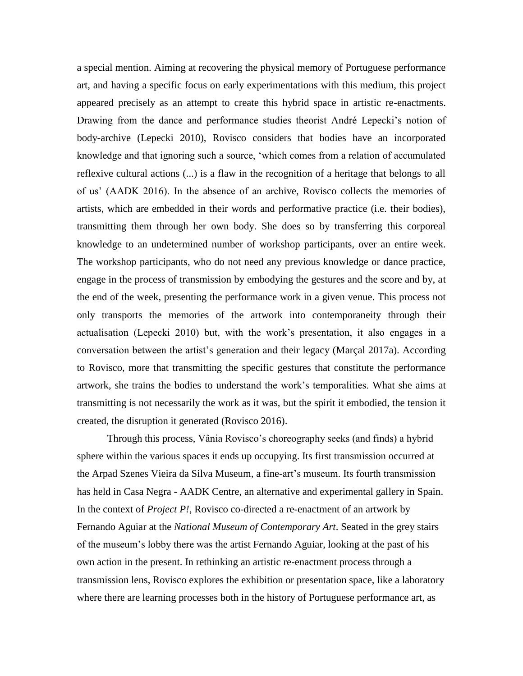a special mention. Aiming at recovering the physical memory of Portuguese performance art, and having a specific focus on early experimentations with this medium, this project appeared precisely as an attempt to create this hybrid space in artistic re-enactments. Drawing from the dance and performance studies theorist André Lepecki's notion of body-archive (Lepecki 2010), Rovisco considers that bodies have an incorporated knowledge and that ignoring such a source, 'which comes from a relation of accumulated reflexive cultural actions (...) is a flaw in the recognition of a heritage that belongs to all of us' (AADK 2016). In the absence of an archive, Rovisco collects the memories of artists, which are embedded in their words and performative practice (i.e. their bodies), transmitting them through her own body. She does so by transferring this corporeal knowledge to an undetermined number of workshop participants, over an entire week. The workshop participants, who do not need any previous knowledge or dance practice, engage in the process of transmission by embodying the gestures and the score and by, at the end of the week, presenting the performance work in a given venue. This process not only transports the memories of the artwork into contemporaneity through their actualisation (Lepecki 2010) but, with the work's presentation, it also engages in a conversation between the artist's generation and their legacy (Marçal 2017a). According to Rovisco, more that transmitting the specific gestures that constitute the performance artwork, she trains the bodies to understand the work's temporalities. What she aims at transmitting is not necessarily the work as it was, but the spirit it embodied, the tension it created, the disruption it generated (Rovisco 2016).

Through this process, Vânia Rovisco's choreography seeks (and finds) a hybrid sphere within the various spaces it ends up occupying. Its first transmission occurred at the Arpad Szenes Vieira da Silva Museum, a fine-art's museum. Its fourth transmission has held in Casa Negra - AADK Centre, an alternative and experimental gallery in Spain. In the context of *Project P!*, Rovisco co-directed a re-enactment of an artwork by Fernando Aguiar at the *National Museum of Contemporary Art*. Seated in the grey stairs of the museum's lobby there was the artist Fernando Aguiar, looking at the past of his own action in the present. In rethinking an artistic re-enactment process through a transmission lens, Rovisco explores the exhibition or presentation space, like a laboratory where there are learning processes both in the history of Portuguese performance art, as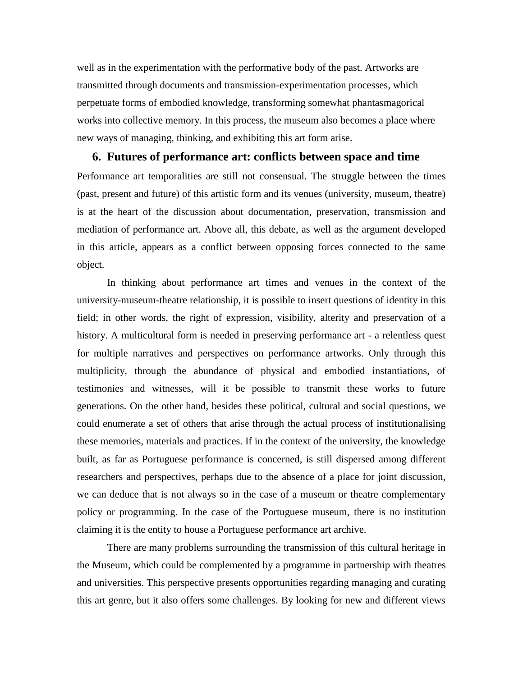well as in the experimentation with the performative body of the past. Artworks are transmitted through documents and transmission-experimentation processes, which perpetuate forms of embodied knowledge, transforming somewhat phantasmagorical works into collective memory. In this process, the museum also becomes a place where new ways of managing, thinking, and exhibiting this art form arise.

### **6. Futures of performance art: conflicts between space and time**

Performance art temporalities are still not consensual. The struggle between the times (past, present and future) of this artistic form and its venues (university, museum, theatre) is at the heart of the discussion about documentation, preservation, transmission and mediation of performance art. Above all, this debate, as well as the argument developed in this article, appears as a conflict between opposing forces connected to the same object.

In thinking about performance art times and venues in the context of the university-museum-theatre relationship, it is possible to insert questions of identity in this field; in other words, the right of expression, visibility, alterity and preservation of a history. A multicultural form is needed in preserving performance art - a relentless quest for multiple narratives and perspectives on performance artworks. Only through this multiplicity, through the abundance of physical and embodied instantiations, of testimonies and witnesses, will it be possible to transmit these works to future generations. On the other hand, besides these political, cultural and social questions, we could enumerate a set of others that arise through the actual process of institutionalising these memories, materials and practices. If in the context of the university, the knowledge built, as far as Portuguese performance is concerned, is still dispersed among different researchers and perspectives, perhaps due to the absence of a place for joint discussion, we can deduce that is not always so in the case of a museum or theatre complementary policy or programming. In the case of the Portuguese museum, there is no institution claiming it is the entity to house a Portuguese performance art archive.

There are many problems surrounding the transmission of this cultural heritage in the Museum, which could be complemented by a programme in partnership with theatres and universities. This perspective presents opportunities regarding managing and curating this art genre, but it also offers some challenges. By looking for new and different views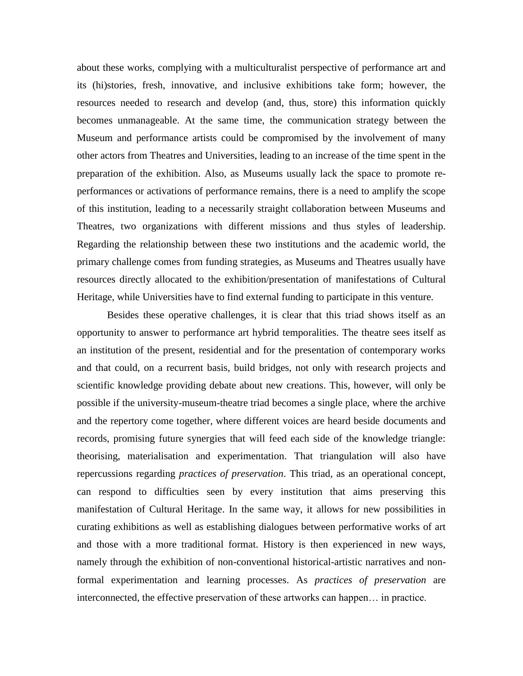about these works, complying with a multiculturalist perspective of performance art and its (hi)stories, fresh, innovative, and inclusive exhibitions take form; however, the resources needed to research and develop (and, thus, store) this information quickly becomes unmanageable. At the same time, the communication strategy between the Museum and performance artists could be compromised by the involvement of many other actors from Theatres and Universities, leading to an increase of the time spent in the preparation of the exhibition. Also, as Museums usually lack the space to promote reperformances or activations of performance remains, there is a need to amplify the scope of this institution, leading to a necessarily straight collaboration between Museums and Theatres, two organizations with different missions and thus styles of leadership. Regarding the relationship between these two institutions and the academic world, the primary challenge comes from funding strategies, as Museums and Theatres usually have resources directly allocated to the exhibition/presentation of manifestations of Cultural Heritage, while Universities have to find external funding to participate in this venture.

Besides these operative challenges, it is clear that this triad shows itself as an opportunity to answer to performance art hybrid temporalities. The theatre sees itself as an institution of the present, residential and for the presentation of contemporary works and that could, on a recurrent basis, build bridges, not only with research projects and scientific knowledge providing debate about new creations. This, however, will only be possible if the university-museum-theatre triad becomes a single place, where the archive and the repertory come together, where different voices are heard beside documents and records, promising future synergies that will feed each side of the knowledge triangle: theorising, materialisation and experimentation. That triangulation will also have repercussions regarding *practices of preservation*. This triad, as an operational concept, can respond to difficulties seen by every institution that aims preserving this manifestation of Cultural Heritage. In the same way, it allows for new possibilities in curating exhibitions as well as establishing dialogues between performative works of art and those with a more traditional format. History is then experienced in new ways, namely through the exhibition of non-conventional historical-artistic narratives and nonformal experimentation and learning processes. As *practices of preservation* are interconnected, the effective preservation of these artworks can happen… in practice.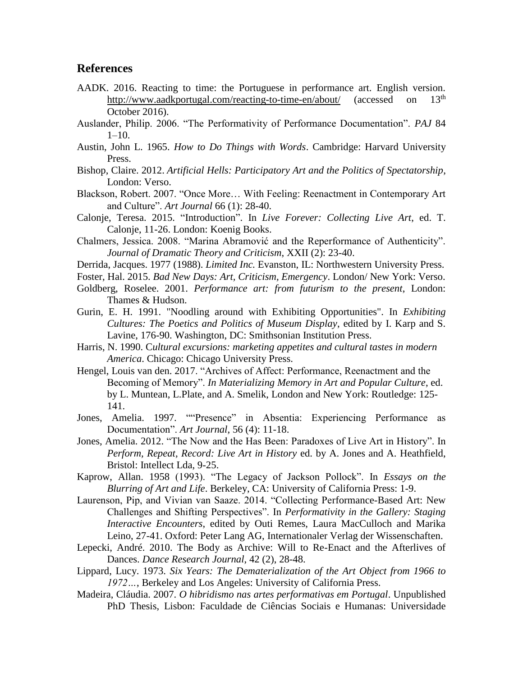### **References**

- AADK. 2016. Reacting to time: the Portuguese in performance art. English version. <http://www.aadkportugal.com/reacting-to-time-en/about/> (accessed on 13<sup>th</sup>) October 2016).
- Auslander, Philip. 2006. "The Performativity of Performance Documentation". *PAJ* 84  $1-10$ .
- Austin, John L. 1965. *How to Do Things with Words*. Cambridge: Harvard University Press.
- Bishop, Claire. 2012. *Artificial Hells: Participatory Art and the Politics of Spectatorship*, London: Verso.
- Blackson, Robert. 2007. "Once More… With Feeling: Reenactment in Contemporary Art and Culture". *Art Journal* 66 (1): 28-40.
- Calonje, Teresa. 2015. "Introduction". In *Live Forever: Collecting Live Art*, ed. T. Calonje, 11-26. London: Koenig Books.
- Chalmers, Jessica. 2008. "Marina Abramović and the Reperformance of Authenticity". *Journal of Dramatic Theory and Criticism*, XXII (2): 23-40.
- Derrida, Jacques. 1977 (1988). *Limited Inc.* Evanston, IL: Northwestern University Press.
- Foster, Hal. 2015. *Bad New Days: Art, Criticism, Emergency*. London/ New York: Verso.
- Goldberg, Roselee. 2001. *Performance art: from futurism to the present*, London: Thames & Hudson.
- Gurin, E. H. 1991. "Noodling around with Exhibiting Opportunities". In *Exhibiting Cultures: The Poetics and Politics of Museum Display*, edited by I. Karp and S. Lavine, 176-90. Washington, DC: Smithsonian Institution Press.
- Harris, N. 1990. C*ultural excursions: marketing appetites and cultural tastes in modern America*. Chicago: Chicago University Press.
- Hengel, Louis van den. 2017. "Archives of Affect: Performance, Reenactment and the Becoming of Memory". *In Materializing Memory in Art and Popular Culture*, ed. by L. Muntean, L.Plate, and A. Smelik, London and New York: Routledge: 125- 141.
- Jones, Amelia. 1997. ""Presence" in Absentia: Experiencing Performance as Documentation". *Art Journal*, 56 (4): 11-18.
- Jones, Amelia. 2012. "The Now and the Has Been: Paradoxes of Live Art in History". In *Perform, Repeat, Record: Live Art in History* ed. by A. Jones and A. Heathfield, Bristol: Intellect Lda, 9-25.
- Kaprow, Allan. 1958 (1993). "The Legacy of Jackson Pollock". In *Essays on the Blurring of Art and Life*. Berkeley, CA: University of California Press: 1-9.
- Laurenson, Pip, and Vivian van Saaze. 2014. "Collecting Performance-Based Art: New Challenges and Shifting Perspectives". In *Performativity in the Gallery: Staging Interactive Encounters*, edited by Outi Remes, Laura MacCulloch and Marika Leino, 27-41. Oxford: Peter Lang AG, Internationaler Verlag der Wissenschaften.
- Lepecki, André. 2010. The Body as Archive: Will to Re-Enact and the Afterlives of Dances. *Dance Research Journal*, 42 (2), 28-48.
- Lippard, Lucy. 1973. *Six Years: The Dematerialization of the Art Object from 1966 to 1972…*, Berkeley and Los Angeles: University of California Press.
- Madeira, Cláudia. 2007. *O hibridismo nas artes performativas em Portugal*. Unpublished PhD Thesis, Lisbon: Faculdade de Ciências Sociais e Humanas: Universidade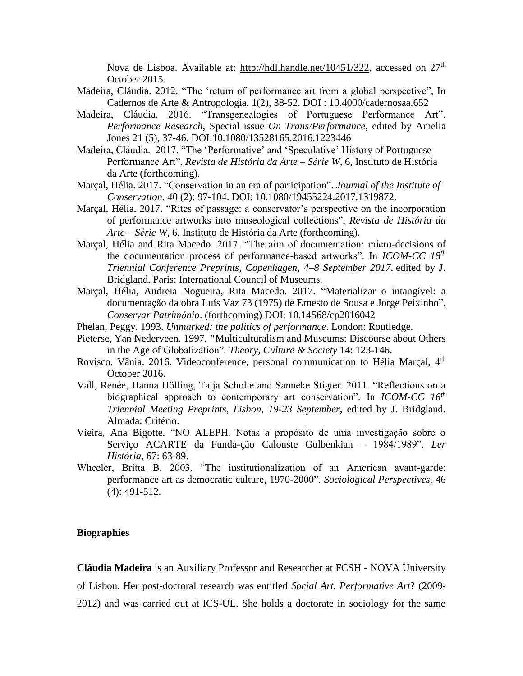Nova de Lisboa. Available at: [http://hdl.handle.net/10451/322,](http://hdl.handle.net/10451/322) accessed on 27<sup>th</sup> October 2015.

- Madeira, Cláudia. 2012. "The 'return of performance art from a global perspective", In Cadernos de Arte & Antropologia, 1(2), 38-52. DOI : 10.4000/cadernosaa.652
- Madeira, Cláudia. 2016. "Transgenealogies of Portuguese Performance Art". *Performance Research,* Special issue *On Trans/Performance,* edited by Amelia Jones 21 (5), 37-46. DOI:10.1080/13528165.2016.1223446
- Madeira, Cláudia. 2017. "The 'Performative' and 'Speculative' History of Portuguese Performance Art", *Revista de História da Arte – Série W*, 6, Instituto de História da Arte (forthcoming).
- Marçal, Hélia. 2017. "Conservation in an era of participation". *Journal of the Institute of Conservation*, 40 (2): 97-104. DOI: 10.1080/19455224.2017.1319872.
- Marçal, Hélia. 2017. "Rites of passage: a conservator's perspective on the incorporation of performance artworks into museological collections", *Revista de História da Arte – Série W*, 6, Instituto de História da Arte (forthcoming).
- Marçal, Hélia and Rita Macedo. 2017. "The aim of documentation: micro-decisions of the documentation process of performance-based artworks". In *ICOM-CC 18th Triennial Conference Preprints, Copenhagen, 4–8 September 2017,* edited by J. Bridgland. Paris: International Council of Museums.
- Marçal, Hélia, Andreia Nogueira, Rita Macedo. 2017. "Materializar o intangível: a documentação da obra Luís Vaz 73 (1975) de Ernesto de Sousa e Jorge Peixinho", *Conservar Património*. (forthcoming) DOI: 10.14568/cp2016042
- Phelan, Peggy. 1993. *Unmarked: the politics of performance*. London: Routledge.
- Pieterse, Yan Nederveen. 1997. **"**Multiculturalism and Museums: Discourse about Others in the Age of Globalization". *Theory, Culture & Society* 14: 123-146.
- Rovisco, Vânia. 2016. Videoconference, personal communication to Hélia Marçal, 4<sup>th</sup> October 2016.
- Vall, Renée, Hanna Hölling, Tatja Scholte and Sanneke Stigter. 2011. "Reflections on a biographical approach to contemporary art conservation". In *ICOM-CC 16th Triennial Meeting Preprints, Lisbon, 19-23 September,* edited by J. Bridgland. Almada: Critério.
- Vieira, Ana Bigotte. "NO ALEPH. Notas a propósito de uma investigação sobre o Serviço ACARTE da Funda-ção Calouste Gulbenkian – 1984/1989". *Ler História*, 67: 63-89.
- Wheeler, Britta B. 2003. "The institutionalization of an American avant-garde: performance art as democratic culture, 1970-2000". *Sociological Perspectives,* 46 (4): 491-512.

#### **Biographies**

**Cláudia Madeira** is an Auxiliary Professor and Researcher at FCSH - NOVA University of Lisbon. Her post-doctoral research was entitled *Social Art. Performative Art*? (2009- 2012) and was carried out at ICS-UL. She holds a doctorate in sociology for the same